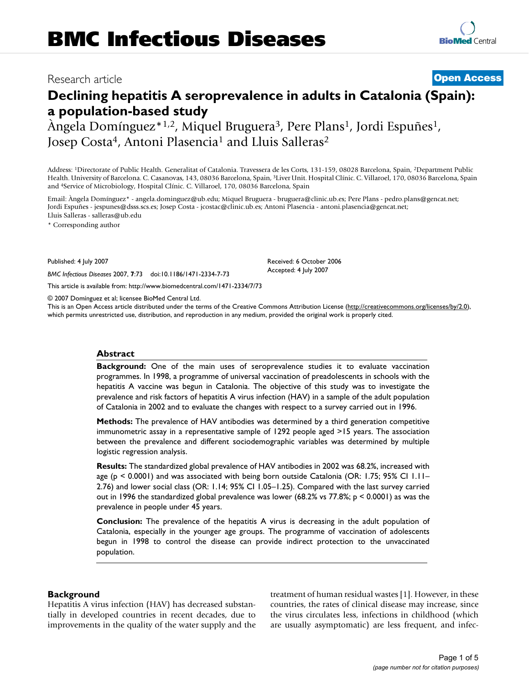# Research article **[Open Access](http://www.biomedcentral.com/info/about/charter/)**

# **Declining hepatitis A seroprevalence in adults in Catalonia (Spain): a population-based study**

Àngela Domínguez\*1,2, Miquel Bruguera3, Pere Plans1, Jordi Espuñes1, Josep Costa<sup>4</sup>, Antoni Plasencia<sup>1</sup> and Lluis Salleras<sup>2</sup>

Address: 1Directorate of Public Health. Generalitat of Catalonia. Travessera de les Corts, 131-159, 08028 Barcelona, Spain, 2Department Public Health. University of Barcelona. C. Casanovas, 143, 08036 Barcelona, Spain, 3Liver Unit. Hospital Clínic. C. Villaroel, 170, 08036 Barcelona, Spain and 4Service of Microbiology, Hospital Clínic. C. Villaroel, 170, 08036 Barcelona, Spain

Email: Àngela Domínguez\* - angela.dominguez@ub.edu; Miquel Bruguera - bruguera@clinic.ub.es; Pere Plans - pedro.plans@gencat.net; Jordi Espuñes - jespunes@dsss.scs.es; Josep Costa - jcostac@clinic.ub.es; Antoni Plasencia - antoni.plasencia@gencat.net; Lluis Salleras - salleras@ub.edu

\* Corresponding author

Published: 4 July 2007

*BMC Infectious Diseases* 2007, **7**:73 doi:10.1186/1471-2334-7-73

[This article is available from: http://www.biomedcentral.com/1471-2334/7/73](http://www.biomedcentral.com/1471-2334/7/73)

© 2007 Domínguez et al; licensee BioMed Central Ltd.

This is an Open Access article distributed under the terms of the Creative Commons Attribution License [\(http://creativecommons.org/licenses/by/2.0\)](http://creativecommons.org/licenses/by/2.0), which permits unrestricted use, distribution, and reproduction in any medium, provided the original work is properly cited.

Received: 6 October 2006 Accepted: 4 July 2007

#### **Abstract**

**Background:** One of the main uses of seroprevalence studies it to evaluate vaccination programmes. In 1998, a programme of universal vaccination of preadolescents in schools with the hepatitis A vaccine was begun in Catalonia. The objective of this study was to investigate the prevalence and risk factors of hepatitis A virus infection (HAV) in a sample of the adult population of Catalonia in 2002 and to evaluate the changes with respect to a survey carried out in 1996.

**Methods:** The prevalence of HAV antibodies was determined by a third generation competitive immunometric assay in a representative sample of 1292 people aged >15 years. The association between the prevalence and different sociodemographic variables was determined by multiple logistic regression analysis.

**Results:** The standardized global prevalence of HAV antibodies in 2002 was 68.2%, increased with age (p < 0.0001) and was associated with being born outside Catalonia (OR: 1.75; 95% CI 1.11– 2.76) and lower social class (OR: 1.14; 95% CI 1.05–1.25). Compared with the last survey carried out in 1996 the standardized global prevalence was lower  $(68.2\% \text{ vs } 77.8\% \text{ p} \le 0.0001)$  as was the prevalence in people under 45 years.

**Conclusion:** The prevalence of the hepatitis A virus is decreasing in the adult population of Catalonia, especially in the younger age groups. The programme of vaccination of adolescents begun in 1998 to control the disease can provide indirect protection to the unvaccinated population.

#### **Background**

Hepatitis A virus infection (HAV) has decreased substantially in developed countries in recent decades, due to improvements in the quality of the water supply and the treatment of human residual wastes [1]. However, in these countries, the rates of clinical disease may increase, since the virus circulates less, infections in childhood (which are usually asymptomatic) are less frequent, and infec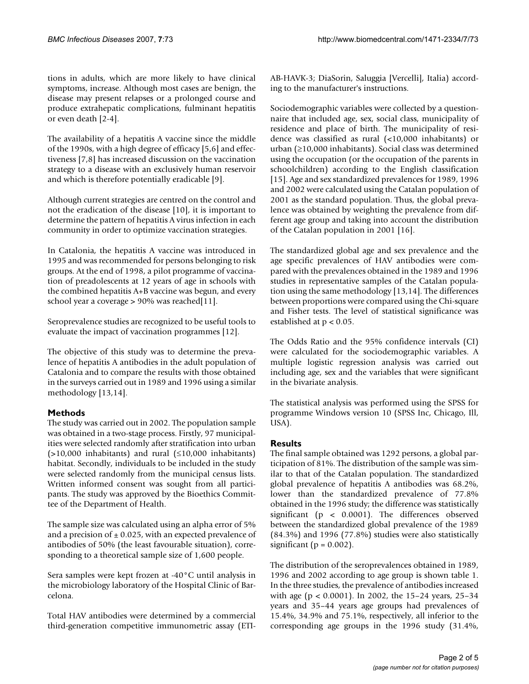tions in adults, which are more likely to have clinical symptoms, increase. Although most cases are benign, the disease may present relapses or a prolonged course and produce extrahepatic complications, fulminant hepatitis or even death [2-4].

The availability of a hepatitis A vaccine since the middle of the 1990s, with a high degree of efficacy [5,6] and effectiveness [7,8] has increased discussion on the vaccination strategy to a disease with an exclusively human reservoir and which is therefore potentially eradicable [9].

Although current strategies are centred on the control and not the eradication of the disease [10], it is important to determine the pattern of hepatitis A virus infection in each community in order to optimize vaccination strategies.

In Catalonia, the hepatitis A vaccine was introduced in 1995 and was recommended for persons belonging to risk groups. At the end of 1998, a pilot programme of vaccination of preadolescents at 12 years of age in schools with the combined hepatitis A+B vaccine was begun, and every school year a coverage > 90% was reached[11].

Seroprevalence studies are recognized to be useful tools to evaluate the impact of vaccination programmes [12].

The objective of this study was to determine the prevalence of hepatitis A antibodies in the adult population of Catalonia and to compare the results with those obtained in the surveys carried out in 1989 and 1996 using a similar methodology [13,14].

#### **Methods**

The study was carried out in 2002. The population sample was obtained in a two-stage process. Firstly, 97 municipalities were selected randomly after stratification into urban  $(>10,000$  inhabitants) and rural  $(≤10,000$  inhabitants) habitat. Secondly, individuals to be included in the study were selected randomly from the municipal census lists. Written informed consent was sought from all participants. The study was approved by the Bioethics Committee of the Department of Health.

The sample size was calculated using an alpha error of 5% and a precision of  $\pm$  0.025, with an expected prevalence of antibodies of 50% (the least favourable situation), corresponding to a theoretical sample size of 1,600 people.

Sera samples were kept frozen at -40°C until analysis in the microbiology laboratory of the Hospital Clinic of Barcelona.

Total HAV antibodies were determined by a commercial third-generation competitive immunometric assay (ETI-

AB-HAVK-3; DiaSorin, Saluggia [Vercelli], Italia) according to the manufacturer's instructions.

Sociodemographic variables were collected by a questionnaire that included age, sex, social class, municipality of residence and place of birth. The municipality of residence was classified as rural (<10,000 inhabitants) or urban (≥10,000 inhabitants). Social class was determined using the occupation (or the occupation of the parents in schoolchildren) according to the English classification [15]. Age and sex standardized prevalences for 1989, 1996 and 2002 were calculated using the Catalan population of 2001 as the standard population. Thus, the global prevalence was obtained by weighting the prevalence from different age group and taking into account the distribution of the Catalan population in 2001 [16].

The standardized global age and sex prevalence and the age specific prevalences of HAV antibodies were compared with the prevalences obtained in the 1989 and 1996 studies in representative samples of the Catalan population using the same methodology [13,14]. The differences between proportions were compared using the Chi-square and Fisher tests. The level of statistical significance was established at p < 0.05.

The Odds Ratio and the 95% confidence intervals (CI) were calculated for the sociodemographic variables. A multiple logistic regression analysis was carried out including age, sex and the variables that were significant in the bivariate analysis.

The statistical analysis was performed using the SPSS for programme Windows version 10 (SPSS Inc, Chicago, Ill, USA).

# **Results**

The final sample obtained was 1292 persons, a global participation of 81%. The distribution of the sample was similar to that of the Catalan population. The standardized global prevalence of hepatitis A antibodies was 68.2%, lower than the standardized prevalence of 77.8% obtained in the 1996 study; the difference was statistically significant (p < 0.0001). The differences observed between the standardized global prevalence of the 1989 (84.3%) and 1996 (77.8%) studies were also statistically significant ( $p = 0.002$ ).

The distribution of the seroprevalences obtained in 1989, 1996 and 2002 according to age group is shown table 1. In the three studies, the prevalence of antibodies increased with age (p < 0.0001). In 2002, the 15–24 years, 25–34 years and 35–44 years age groups had prevalences of 15.4%, 34.9% and 75.1%, respectively, all inferior to the corresponding age groups in the 1996 study (31.4%,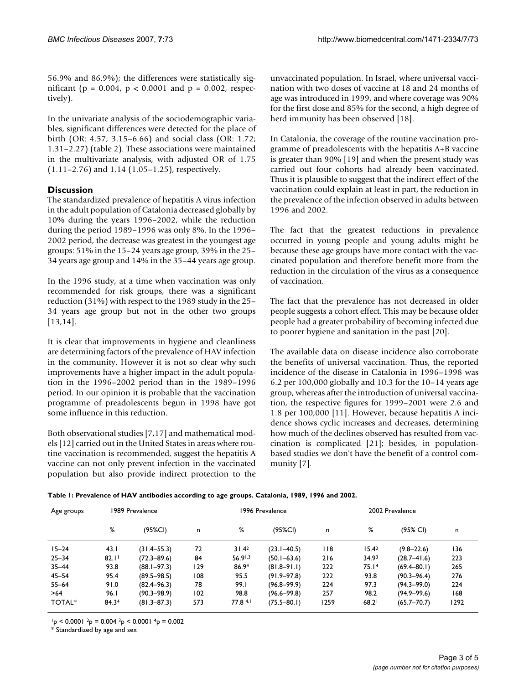56.9% and 86.9%); the differences were statistically significant ( $p = 0.004$ ,  $p < 0.0001$  and  $p = 0.002$ , respectively).

In the univariate analysis of the sociodemographic variables, significant differences were detected for the place of birth (OR: 4.57; 3.15–6.66) and social class (OR: 1.72; 1.31–2.27) (table 2). These associations were maintained in the multivariate analysis, with adjusted OR of 1.75 (1.11–2.76) and 1.14 (1.05–1.25), respectively.

# **Discussion**

The standardized prevalence of hepatitis A virus infection in the adult population of Catalonia decreased globally by 10% during the years 1996–2002, while the reduction during the period 1989–1996 was only 8%. In the 1996– 2002 period, the decrease was greatest in the youngest age groups: 51% in the 15–24 years age group, 39% in the 25– 34 years age group and 14% in the 35–44 years age group.

In the 1996 study, at a time when vaccination was only recommended for risk groups, there was a significant reduction (31%) with respect to the 1989 study in the 25– 34 years age group but not in the other two groups [13,14].

It is clear that improvements in hygiene and cleanliness are determining factors of the prevalence of HAV infection in the community. However it is not so clear why such improvements have a higher impact in the adult population in the 1996–2002 period than in the 1989–1996 period. In our opinion it is probable that the vaccination programme of preadolescents begun in 1998 have got some influence in this reduction.

Both observational studies [7,17] and mathematical models [12] carried out in the United States in areas where routine vaccination is recommended, suggest the hepatitis A vaccine can not only prevent infection in the vaccinated population but also provide indirect protection to the unvaccinated population. In Israel, where universal vaccination with two doses of vaccine at 18 and 24 months of age was introduced in 1999, and where coverage was 90% for the first dose and 85% for the second, a high degree of herd immunity has been observed [18].

In Catalonia, the coverage of the routine vaccination programme of preadolescents with the hepatitis A+B vaccine is greater than 90% [19] and when the present study was carried out four cohorts had already been vaccinated. Thus it is plausible to suggest that the indirect effect of the vaccination could explain at least in part, the reduction in the prevalence of the infection observed in adults between 1996 and 2002.

The fact that the greatest reductions in prevalence occurred in young people and young adults might be because these age groups have more contact with the vaccinated population and therefore benefit more from the reduction in the circulation of the virus as a consequence of vaccination.

The fact that the prevalence has not decreased in older people suggests a cohort effect. This may be because older people had a greater probability of becoming infected due to poorer hygiene and sanitation in the past [20].

The available data on disease incidence also corroborate the benefits of universal vaccination. Thus, the reported incidence of the disease in Catalonia in 1996–1998 was 6.2 per 100,000 globally and 10.3 for the 10–14 years age group, whereas after the introduction of universal vaccination, the respective figures for 1999–2001 were 2.6 and 1.8 per 100,000 [11]. However, because hepatitis A incidence shows cyclic increases and decreases, determining how much of the declines observed has resulted from vaccination is complicated [21]; besides, in populationbased studies we don't have the benefit of a control community [7].

| Age groups | 1989 Prevalence |                 |     | 1996 Prevalence |                 |        | 2002 Prevalence   |                 |      |
|------------|-----------------|-----------------|-----|-----------------|-----------------|--------|-------------------|-----------------|------|
|            | %               | (95%CI)         | n   | %               | (95%CI)         | n      | %                 | (95% CI)        | n    |
| $15 - 24$  | 43.1            | $(31.4 - 55.3)$ | 72  | 31.42           | $(23.1 - 40.5)$ | $ $  8 | 15.42             | $(9.8 - 22.6)$  | 136  |
| $25 - 34$  | 82.1            | $(72.3 - 89.6)$ | 84  | 56.91,3         | $(50.1 - 63.6)$ | 216    | 34.9 <sup>3</sup> | $(28.7 - 41.6)$ | 223  |
| $35 - 44$  | 93.8            | $(88.1 - 97.3)$ | 129 | 86.94           | $(81.8 - 91.1)$ | 222    | 75.14             | $(69.4 - 80.1)$ | 265  |
| $45 - 54$  | 95.4            | $(89.5 - 98.5)$ | 108 | 95.5            | $(91.9 - 97.8)$ | 222    | 93.8              | $(90.3 - 96.4)$ | 276  |
| $55 - 64$  | 91.0            | $(82.4 - 96.3)$ | 78  | 99.I            | $(96.8 - 99.9)$ | 224    | 97.3              | $(94.3 - 99.0)$ | 224  |
| >64        | 96.1            | $(90.3 - 98.9)$ | 102 | 98.8            | $(96.6 - 99.8)$ | 257    | 98.2              | $(94.9 - 99.6)$ | 168  |
| TOTAL*     | 84.34           | $(81.3 - 87.3)$ | 573 | 77.8 4.1        | $(75.5 - 80.1)$ | 1259   | 68.2              | $(65.7 - 70.7)$ | 1292 |

 $1<sub>p</sub>$  < 0.0001  $2<sub>p</sub>$  = 0.004  $3<sub>p</sub>$  < 0.0001  $4<sub>p</sub>$  = 0.002

\* Standardized by age and sex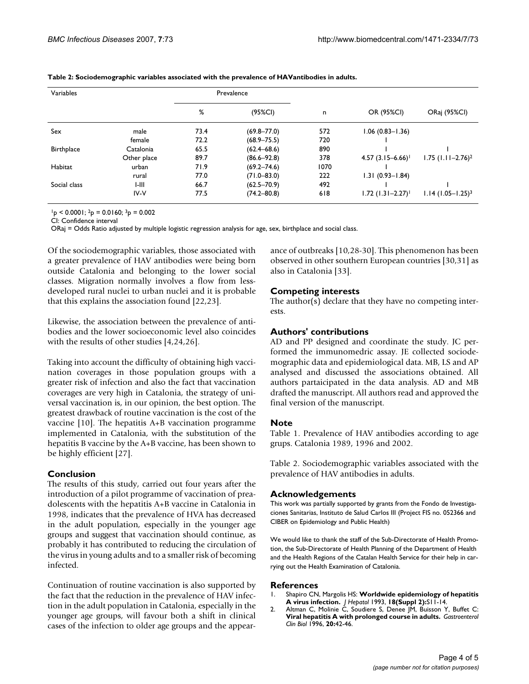| Variables    |             |      | Prevalence      |      |                                 |                                 |  |
|--------------|-------------|------|-----------------|------|---------------------------------|---------------------------------|--|
|              |             | %    | $(95\%CI)$      | n    | OR (95%CI)                      | ORaj (95%CI)                    |  |
| Sex          | male        | 73.4 | $(69.8 - 77.0)$ | 572  | $1.06(0.83 - 1.36)$             |                                 |  |
|              | female      | 72.2 | $(68.9 - 75.5)$ | 720  |                                 |                                 |  |
| Birthplace   | Catalonia   | 65.5 | $(62.4 - 68.6)$ | 890  |                                 |                                 |  |
|              | Other place | 89.7 | $(86.6 - 92.8)$ | 378  | $4.57(3.15 - 6.66)$             | $1.75$ (1.11-2.76) <sup>2</sup> |  |
| Habitat      | urban       | 71.9 | $(69.2 - 74.6)$ | 1070 |                                 |                                 |  |
|              | rural       | 77.0 | $(71.0 - 83.0)$ | 222  | $1.31(0.93 - 1.84)$             |                                 |  |
| Social class | I-III       | 66.7 | $(62.5 - 70.9)$ | 492  |                                 |                                 |  |
|              | $IV-V$      | 77.5 | $(74.2 - 80.8)$ | 618  | $1.72$ (1.31-2.27) <sup>1</sup> | $1.14$ (1.05-1.25) <sup>3</sup> |  |

**Table 2: Sociodemographic variables associated with the prevalence of HAVantibodies in adults.**

 $1<sub>p</sub> < 0.0001$ ;  $2<sub>p</sub> = 0.0160$ ;  $3<sub>p</sub> = 0.002$ 

CI: Confidence interval

ORaj = Odds Ratio adjusted by multiple logistic regression analysis for age, sex, birthplace and social class.

Of the sociodemographic variables, those associated with a greater prevalence of HAV antibodies were being born outside Catalonia and belonging to the lower social classes. Migration normally involves a flow from lessdeveloped rural nuclei to urban nuclei and it is probable that this explains the association found [22,23].

Likewise, the association between the prevalence of antibodies and the lower socioeconomic level also coincides with the results of other studies [4,24,26].

Taking into account the difficulty of obtaining high vaccination coverages in those population groups with a greater risk of infection and also the fact that vaccination coverages are very high in Catalonia, the strategy of universal vaccination is, in our opinion, the best option. The greatest drawback of routine vaccination is the cost of the vaccine [10]. The hepatitis A+B vaccination programme implemented in Catalonia, with the substitution of the hepatitis B vaccine by the A+B vaccine, has been shown to be highly efficient [27].

#### **Conclusion**

The results of this study, carried out four years after the introduction of a pilot programme of vaccination of preadolescents with the hepatitis A+B vaccine in Catalonia in 1998, indicates that the prevalence of HVA has decreased in the adult population, especially in the younger age groups and suggest that vaccination should continue, as probably it has contributed to reducing the circulation of the virus in young adults and to a smaller risk of becoming infected.

Continuation of routine vaccination is also supported by the fact that the reduction in the prevalence of HAV infection in the adult population in Catalonia, especially in the younger age groups, will favour both a shift in clinical cases of the infection to older age groups and the appearance of outbreaks [10,28-30]. This phenomenon has been observed in other southern European countries [30,31] as also in Catalonia [33].

## **Competing interests**

The author(s) declare that they have no competing interests.

## **Authors' contributions**

AD and PP designed and coordinate the study. JC performed the immunomedric assay. JE collected sociodemographic data and epidemiological data. MB, LS and AP analysed and discussed the associations obtained. All authors partaicipated in the data analysis. AD and MB drafted the manuscript. All authors read and approved the final version of the manuscript.

#### **Note**

Table 1. Prevalence of HAV antibodies according to age grups. Catalonia 1989, 1996 and 2002.

Table 2. Sociodemographic variables associated with the prevalence of HAV antibodies in adults.

#### **Acknowledgements**

This work was partially supported by grants from the Fondo de Investigaciones Sanitarias, Instituto de Salud Carlos III (Project FIS no. 052366 and CIBER on Epidemiology and Public Health)

We would like to thank the staff of the Sub-Directorate of Health Promotion, the Sub-Directorate of Health Planning of the Department of Health and the Health Regions of the Catalan Health Service for their help in carrying out the Health Examination of Catalonia.

#### **References**

- 1. Shapiro CN, Margolis HS: **[Worldwide epidemiology of hepatitis](http://www.ncbi.nlm.nih.gov/entrez/query.fcgi?cmd=Retrieve&db=PubMed&dopt=Abstract&list_uids=8182265) [A virus infection.](http://www.ncbi.nlm.nih.gov/entrez/query.fcgi?cmd=Retrieve&db=PubMed&dopt=Abstract&list_uids=8182265)** *J Hepatol* 1993, **18(Suppl 2):**S11-14.
- 2. Altman C, Molinie C, Soudiere S, Denee JM, Buisson Y, Buffet C: **[Viral hepatitis A with prolonged course in adults.](http://www.ncbi.nlm.nih.gov/entrez/query.fcgi?cmd=Retrieve&db=PubMed&dopt=Abstract&list_uids=8734311)** *Gastroenterol Clin Biol* 1996, **20:**42-46.